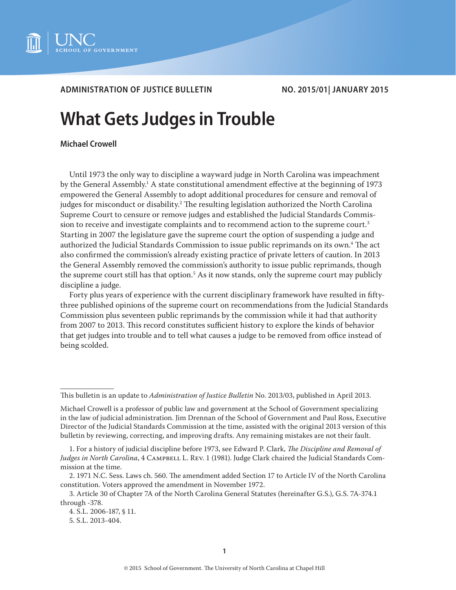

**ADMINISTRATION OF JUSTICE BULLETIN NO. 2015/01| JANUARY 2015**

# **What Gets Judges in Trouble**

## **Michael Crowell**

Until 1973 the only way to discipline a wayward judge in North Carolina was impeachment by the General Assembly.<sup>1</sup> A state constitutional amendment effective at the beginning of 1973 empowered the General Assembly to adopt additional procedures for censure and removal of judges for misconduct or disability. $^2$  The resulting legislation authorized the North Carolina Supreme Court to censure or remove judges and established the Judicial Standards Commission to receive and investigate complaints and to recommend action to the supreme court.<sup>3</sup> Starting in 2007 the legislature gave the supreme court the option of suspending a judge and authorized the Judicial Standards Commission to issue public reprimands on its own.<sup>4</sup> The act also confirmed the commission's already existing practice of private letters of caution. In 2013 the General Assembly removed the commission's authority to issue public reprimands, though the supreme court still has that option.<sup>5</sup> As it now stands, only the supreme court may publicly discipline a judge.

Forty plus years of experience with the current disciplinary framework have resulted in fiftythree published opinions of the supreme court on recommendations from the Judicial Standards Commission plus seventeen public reprimands by the commission while it had that authority from 2007 to 2013. This record constitutes sufficient history to explore the kinds of behavior that get judges into trouble and to tell what causes a judge to be removed from office instead of being scolded.

This bulletin is an update to *Administration of Justice Bulletin* No. 2013/03, published in April 2013.

Michael Crowell is a professor of public law and government at the School of Government specializing in the law of judicial administration. Jim Drennan of the School of Government and Paul Ross, Executive Director of the Judicial Standards Commission at the time, assisted with the original 2013 version of this bulletin by reviewing, correcting, and improving drafts. Any remaining mistakes are not their fault.

<sup>1.</sup> For a history of judicial discipline before 1973, see Edward P. Clark, *The Discipline and Removal of*  Judges in North Carolina, 4 CAMPBELL L. REV. 1 (1981). Judge Clark chaired the Judicial Standards Commission at the time.

<sup>2. 1971</sup> N.C. Sess. Laws ch. 560. The amendment added Section 17 to Article IV of the North Carolina constitution. Voters approved the amendment in November 1972.

<sup>3.</sup> Article 30 of Chapter 7A of the North Carolina General Statutes (hereinafter G.S.), G.S. 7A-374.1 through -378.

<sup>4.</sup> S.L. 2006-187, § 11.

<sup>5.</sup> S.L. 2013-404.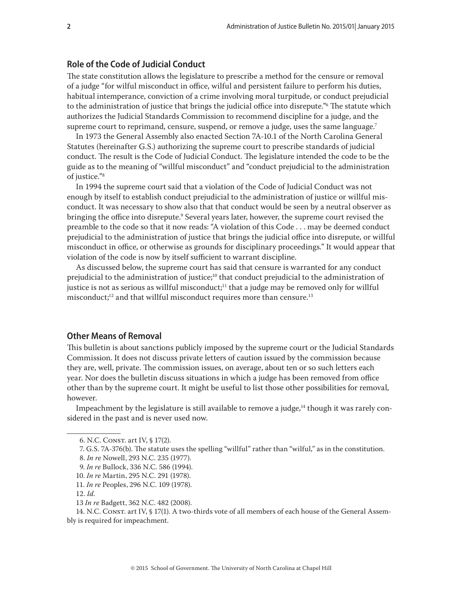# <span id="page-1-0"></span>**Role of the Code of Judicial Conduct**

The state constitution allows the legislature to prescribe a method for the censure or removal of a judge "for wilful misconduct in office, wilful and persistent failure to perform his duties, habitual intemperance, conviction of a crime involving moral turpitude, or conduct prejudicial to the administration of justice that brings the judicial office into disrepute."6 The statute which authorizes the Judicial Standards Commission to recommend discipline for a judge, and the supreme court to reprimand, censure, suspend, or remove a judge, uses the same language.<sup>7</sup>

In 1973 the General Assembly also enacted Section 7A-10.1 of the North Carolina General Statutes (hereinafter G.S.) authorizing the supreme court to prescribe standards of judicial conduct. The result is the Code of Judicial Conduct. The legislature intended the code to be the guide as to the meaning of "willful misconduct" and "conduct prejudicial to the administration of justice."8

In 1994 the supreme court said that a violation of the Code of Judicial Conduct was not enough by itself to establish conduct prejudicial to the administration of justice or willful misconduct. It was necessary to show also that that conduct would be seen by a neutral observer as bringing the office into disrepute.<sup>9</sup> Several years later, however, the supreme court revised the preamble to the code so that it now reads: "A violation of this Code . . . may be deemed conduct prejudicial to the administration of justice that brings the judicial office into disrepute, or willful misconduct in office, or otherwise as grounds for disciplinary proceedings." It would appear that violation of the code is now by itself sufficient to warrant discipline.

As discussed below, the supreme court has said that censure is warranted for any conduct prejudicial to the administration of justice;<sup>10</sup> that conduct prejudicial to the administration of justice is not as serious as willful misconduct;<sup>11</sup> that a judge may be removed only for willful misconduct;<sup>12</sup> and that willful misconduct requires more than censure.<sup>13</sup>

# **Other Means of Removal**

This bulletin is about sanctions publicly imposed by the supreme court or the Judicial Standards Commission. It does not discuss private letters of caution issued by the commission because they are, well, private. The commission issues, on average, about ten or so such letters each year. Nor does the bulletin discuss situations in which a judge has been removed from office other than by the supreme court. It might be useful to list those other possibilities for removal, however.

Impeachment by the legislature is still available to remove a judge, $14$  though it was rarely considered in the past and is never used now.

- 9. *In re* Bullock, 336 N.C. 586 (1994).
- 10. *In re* Martin, 295 N.C. 291 (1978).
- 11. *In re* Peoples, 296 N.C. 109 (1978).

14. N.C. Const. art IV, § 17(1). A two-thirds vote of all members of each house of the General Assembly is required for impeachment.

<sup>6.</sup> N.C. Const. art IV, § 17(2).

<sup>7.</sup> G.S. 7A-376(b). The statute uses the spelling "willful" rather than "wilful," as in the constitution.

<sup>8.</sup> *In re* Nowell, 293 N.C. 235 (1977).

<sup>12.</sup> *Id.*

<sup>13</sup> *In re* Badgett, 362 N.C. 482 (2008).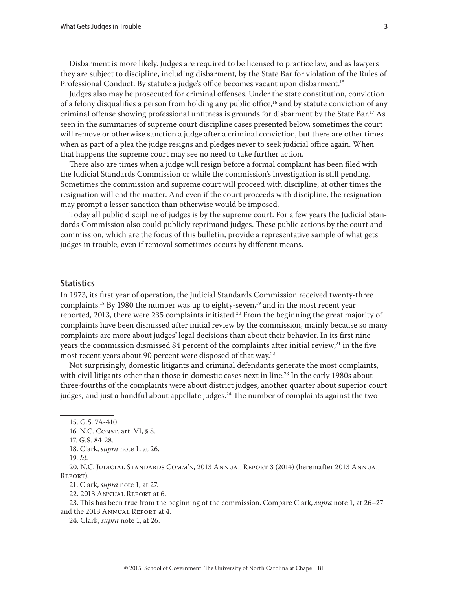<span id="page-2-0"></span>Disbarment is more likely. Judges are required to be licensed to practice law, and as lawyers they are subject to discipline, including disbarment, by the State Bar for violation of the Rules of Professional Conduct. By statute a judge's office becomes vacant upon disbarment.15

Judges also may be prosecuted for criminal offenses. Under the state constitution, conviction of a felony disqualifies a person from holding any public office,<sup>16</sup> and by statute conviction of any criminal offense showing professional unfitness is grounds for disbarment by the State Bar.<sup>17</sup> As seen in the summaries of supreme court discipline cases presented below, sometimes the court will remove or otherwise sanction a judge after a criminal conviction, but there are other times when as part of a plea the judge resigns and pledges never to seek judicial office again. When that happens the supreme court may see no need to take further action.

There also are times when a judge will resign before a formal complaint has been filed with the Judicial Standards Commission or while the commission's investigation is still pending. Sometimes the commission and supreme court will proceed with discipline; at other times the resignation will end the matter. And even if the court proceeds with discipline, the resignation may prompt a lesser sanction than otherwise would be imposed.

Today all public discipline of judges is by the supreme court. For a few years the Judicial Standards Commission also could publicly reprimand judges. These public actions by the court and commission, which are the focus of this bulletin, provide a representative sample of what gets judges in trouble, even if removal sometimes occurs by different means.

## **Statistics**

In 1973, its first year of operation, the Judicial Standards Commission received twenty-three complaints.<sup>18</sup> By 1980 the number was up to eighty-seven,<sup>19</sup> and in the most recent year reported, 2013, there were 235 complaints initiated.<sup>20</sup> From the beginning the great majority of complaints have been dismissed after initial review by the commission, mainly because so many complaints are more about judges' legal decisions than about their behavior. In its first nine years the commission dismissed 84 percent of the complaints after initial review; $^{21}$  in the five most recent years about 90 percent were disposed of that way. $22$ 

Not surprisingly, domestic litigants and criminal defendants generate the most complaints, with civil litigants other than those in domestic cases next in line.<sup>23</sup> In the early 1980s about three-fourths of the complaints were about district judges, another quarter about superior court judges, and just a handful about appellate judges. $^{24}$  The number of complaints against the two

<sup>15.</sup> G.S. 7A-410.

<sup>16.</sup> N.C. CONST. art. VI, § 8.

<sup>17.</sup> G.S. 84-28.

<sup>18.</sup> Clark, *supra* note 1, at 26.

<sup>19.</sup> *Id*.

<sup>20.</sup> N.C. Judicial Standards Comm'n, 2013 Annual Report 3 (2014) (hereinafter 2013 Annual Report).

<sup>21.</sup> Clark, *supra* note 1, at 27.

<sup>22. 2013</sup> Annual Report at 6.

<sup>23.</sup> This has been true from the beginning of the commission. Compare Clark, *supra* note 1, at 26–27 and the 2013 Annual Report at 4.

<sup>24.</sup> Clark, *supra* note 1, at 26.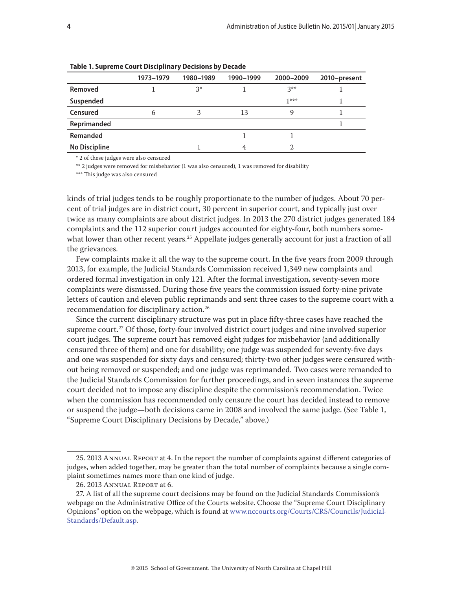|                      | 1973-1979 | 1980-1989 | 1990-1999 | 2000-2009 | 2010-present |
|----------------------|-----------|-----------|-----------|-----------|--------------|
| Removed              |           | $3^*$     |           | $3**$     |              |
| Suspended            |           |           |           | 1***      |              |
| Censured             | h         | 3         | 13        | 9         |              |
| Reprimanded          |           |           |           |           |              |
| Remanded             |           |           |           |           |              |
| <b>No Discipline</b> |           |           | 4         |           |              |

**Table 1. Supreme Court Disciplinary Decisions by Decade**

\* 2 of these judges were also censured

\*\* 2 judges were removed for misbehavior (1 was also censured), 1 was removed for disability

\*\*\* This judge was also censured

kinds of trial judges tends to be roughly proportionate to the number of judges. About 70 percent of trial judges are in district court, 30 percent in superior court, and typically just over twice as many complaints are about district judges. In 2013 the 270 district judges generated 184 complaints and the 112 superior court judges accounted for eighty-four, both numbers somewhat lower than other recent years.<sup>25</sup> Appellate judges generally account for just a fraction of all the grievances.

Few complaints make it all the way to the supreme court. In the five years from 2009 through 2013, for example, the Judicial Standards Commission received 1,349 new complaints and ordered formal investigation in only 121. After the formal investigation, seventy-seven more complaints were dismissed. During those five years the commission issued forty-nine private letters of caution and eleven public reprimands and sent three cases to the supreme court with a recommendation for disciplinary action.26

Since the current disciplinary structure was put in place fifty-three cases have reached the supreme court.<sup>27</sup> Of those, forty-four involved district court judges and nine involved superior court judges. The supreme court has removed eight judges for misbehavior (and additionally censured three of them) and one for disability; one judge was suspended for seventy-five days and one was suspended for sixty days and censured; thirty-two other judges were censured without being removed or suspended; and one judge was reprimanded. Two cases were remanded to the Judicial Standards Commission for further proceedings, and in seven instances the supreme court decided not to impose any discipline despite the commission's recommendation. Twice when the commission has recommended only censure the court has decided instead to remove or suspend the judge—both decisions came in 2008 and involved the same judge. (See Table 1, "Supreme Court Disciplinary Decisions by Decade," above.)

<sup>25. 2013</sup> Annual Report at 4. In the report the number of complaints against different categories of judges, when added together, may be greater than the total number of complaints because a single complaint sometimes names more than one kind of judge.

<sup>26. 2013</sup> Annual Report at 6.

<sup>27.</sup> A list of all the supreme court decisions may be found on the Judicial Standards Commission's webpage on the Administrative Office of the Courts website. Choose the "Supreme Court Disciplinary Opinions" option on the webpage, which is found at [www.nccourts.org/Courts/CRS/Councils/Judicial-](http://www.nccourts.org/Courts/CRS/Councils/JudicialStandards/Default.asp)[Standards/Default.asp](http://www.nccourts.org/Courts/CRS/Councils/JudicialStandards/Default.asp).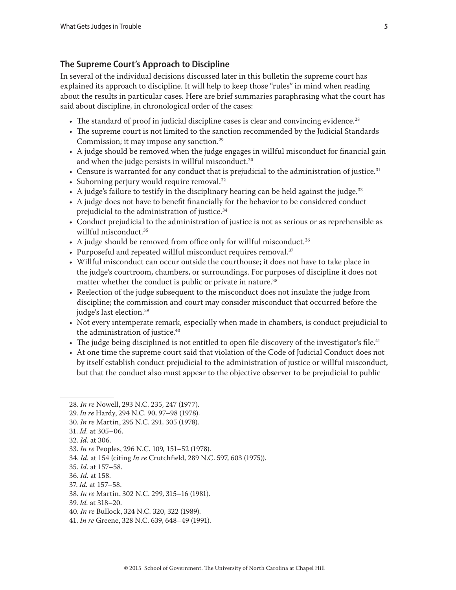# <span id="page-4-0"></span>**The Supreme Court's Approach to Discipline**

In several of the individual decisions discussed later in this bulletin the supreme court has explained its approach to discipline. It will help to keep those "rules" in mind when reading about the results in particular cases. Here are brief summaries paraphrasing what the court has said about discipline, in chronological order of the cases:

- $\bullet$  The standard of proof in judicial discipline cases is clear and convincing evidence.<sup>28</sup>
- The supreme court is not limited to the sanction recommended by the Judicial Standards Commission; it may impose any sanction.<sup>29</sup>
- A judge should be removed when the judge engages in willful misconduct for financial gain and when the judge persists in willful misconduct.<sup>30</sup>
- Censure is warranted for any conduct that is prejudicial to the administration of justice.<sup>31</sup>
- Suborning perjury would require removal.<sup>32</sup>
- A judge's failure to testify in the disciplinary hearing can be held against the judge. $33$
- A judge does not have to benefit financially for the behavior to be considered conduct prejudicial to the administration of justice.34
- Conduct prejudicial to the administration of justice is not as serious or as reprehensible as willful misconduct.<sup>35</sup>
- A judge should be removed from office only for willful misconduct.<sup>36</sup>
- Purposeful and repeated willful misconduct requires removal.<sup>37</sup>
- Willful misconduct can occur outside the courthouse; it does not have to take place in the judge's courtroom, chambers, or surroundings. For purposes of discipline it does not matter whether the conduct is public or private in nature.<sup>38</sup>
- Reelection of the judge subsequent to the misconduct does not insulate the judge from discipline; the commission and court may consider misconduct that occurred before the judge's last election.39
- Not every intemperate remark, especially when made in chambers, is conduct prejudicial to the administration of justice.<sup>40</sup>
- The judge being disciplined is not entitled to open file discovery of the investigator's file.<sup>41</sup>
- At one time the supreme court said that violation of the Code of Judicial Conduct does not by itself establish conduct prejudicial to the administration of justice or willful misconduct, but that the conduct also must appear to the objective observer to be prejudicial to public

36. *Id.* at 158.

<sup>28.</sup> *In re* Nowell, 293 N.C. 235, 247 (1977).

<sup>29.</sup> *In re* Hardy, 294 N.C. 90, 97–98 (1978).

<sup>30.</sup> *In re* Martin, 295 N.C. 291, 305 (1978).

<sup>31.</sup> *Id.* at 305–06.

<sup>32.</sup> *Id.* at 306.

<sup>33.</sup> *In re* Peoples, 296 N.C. 109, 151–52 (1978).

<sup>34.</sup> *Id.* at 154 (citing *In re* Crutchfield, 289 N.C. 597, 603 (1975)).

<sup>35.</sup> *Id.* at 157–58.

<sup>37.</sup> *Id.* at 157–58.

<sup>38.</sup> *In re* Martin, 302 N.C. 299, 315–16 (1981).

<sup>39.</sup> *Id.* at 318–20.

<sup>40.</sup> *In re* Bullock, 324 N.C. 320, 322 (1989).

<sup>41.</sup> *In re* Greene, 328 N.C. 639, 648–49 (1991).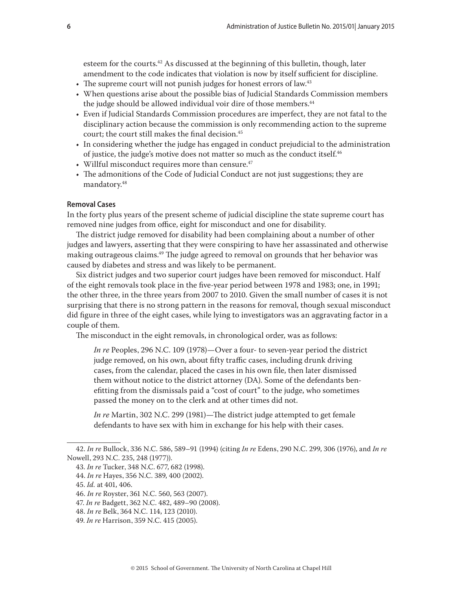<span id="page-5-0"></span>esteem for the courts.<sup>42</sup> As discussed at the beginning of this bulletin, though, later amendment to the code indicates that violation is now by itself sufficient for discipline.

- The supreme court will not punish judges for honest errors of law.<sup>43</sup>
- When questions arise about the possible bias of Judicial Standards Commission members the judge should be allowed individual voir dire of those members.<sup>44</sup>
- Even if Judicial Standards Commission procedures are imperfect, they are not fatal to the disciplinary action because the commission is only recommending action to the supreme court; the court still makes the final decision.<sup>45</sup>
- In considering whether the judge has engaged in conduct prejudicial to the administration of justice, the judge's motive does not matter so much as the conduct itself.<sup>46</sup>
- Willful misconduct requires more than censure. $47$
- The admonitions of the Code of Judicial Conduct are not just suggestions; they are mandatory.48

#### **Removal Cases**

In the forty plus years of the present scheme of judicial discipline the state supreme court has removed nine judges from office, eight for misconduct and one for disability.

The district judge removed for disability had been complaining about a number of other judges and lawyers, asserting that they were conspiring to have her assassinated and otherwise making outrageous claims.49 The judge agreed to removal on grounds that her behavior was caused by diabetes and stress and was likely to be permanent.

Six district judges and two superior court judges have been removed for misconduct. Half of the eight removals took place in the five-year period between 1978 and 1983; one, in 1991; the other three, in the three years from 2007 to 2010. Given the small number of cases it is not surprising that there is no strong pattern in the reasons for removal, though sexual misconduct did figure in three of the eight cases, while lying to investigators was an aggravating factor in a couple of them.

The misconduct in the eight removals, in chronological order, was as follows:

*In re* Peoples, 296 N.C. 109 (1978)—Over a four- to seven-year period the district judge removed, on his own, about fifty traffic cases, including drunk driving cases, from the calendar, placed the cases in his own file, then later dismissed them without notice to the district attorney (DA). Some of the defendants benefitting from the dismissals paid a "cost of court" to the judge, who sometimes passed the money on to the clerk and at other times did not.

*In re* Martin, 302 N.C. 299 (1981)—The district judge attempted to get female defendants to have sex with him in exchange for his help with their cases.

<sup>42.</sup> *In re* Bullock, 336 N.C. 586, 589–91 (1994) (citing *In re* Edens, 290 N.C. 299, 306 (1976), and *In re*  Nowell, 293 N.C. 235, 248 (1977)).

<sup>43.</sup> *In re* Tucker, 348 N.C. 677, 682 (1998).

<sup>44.</sup> *In re* Hayes, 356 N.C. 389, 400 (2002).

<sup>45.</sup> *Id.* at 401, 406.

<sup>46.</sup> *In re* Royster, 361 N.C. 560, 563 (2007).

<sup>47.</sup> *In re* Badgett, 362 N.C. 482, 489–90 (2008).

<sup>48.</sup> *In re* Belk, 364 N.C. 114, 123 (2010).

<sup>49.</sup> *In re* Harrison, 359 N.C. 415 (2005).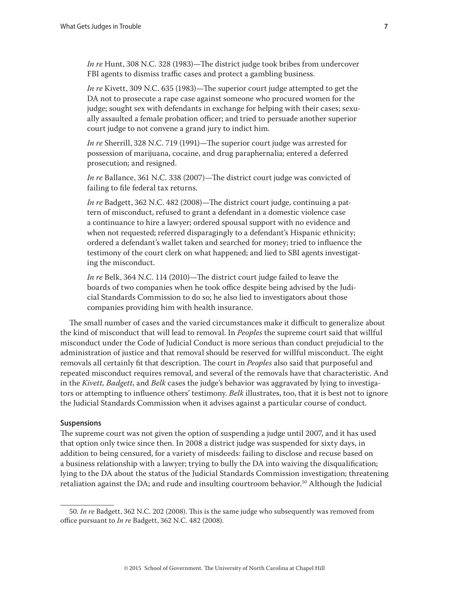<span id="page-6-0"></span>*In re* Hunt, 308 N.C. 328 (1983)—The district judge took bribes from undercover FBI agents to dismiss traffic cases and protect a gambling business.

*In re* Kivett, 309 N.C. 635 (1983)—The superior court judge attempted to get the DA not to prosecute a rape case against someone who procured women for the judge; sought sex with defendants in exchange for helping with their cases; sexually assaulted a female probation officer; and tried to persuade another superior court judge to not convene a grand jury to indict him.

*In re* Sherrill, 328 N.C. 719 (1991)—The superior court judge was arrested for possession of marijuana, cocaine, and drug paraphernalia; entered a deferred prosecution; and resigned.

*In re* Ballance, 361 N.C. 338 (2007)—The district court judge was convicted of failing to file federal tax returns.

*In re* Badgett, 362 N.C. 482 (2008)—The district court judge, continuing a pattern of misconduct, refused to grant a defendant in a domestic violence case a continuance to hire a lawyer; ordered spousal support with no evidence and when not requested; referred disparagingly to a defendant's Hispanic ethnicity; ordered a defendant's wallet taken and searched for money; tried to influence the testimony of the court clerk on what happened; and lied to SBI agents investigating the misconduct.

*In re* Belk, 364 N.C. 114 (2010)—The district court judge failed to leave the boards of two companies when he took office despite being advised by the Judicial Standards Commission to do so; he also lied to investigators about those companies providing him with health insurance.

The small number of cases and the varied circumstances make it difficult to generalize about the kind of misconduct that will lead to removal. In *Peoples* the supreme court said that willful misconduct under the Code of Judicial Conduct is more serious than conduct prejudicial to the administration of justice and that removal should be reserved for willful misconduct. The eight removals all certainly fit that description. The court in *Peoples* also said that purposeful and repeated misconduct requires removal, and several of the removals have that characteristic. And in the *Kivett, Badgett*, and *Belk* cases the judge's behavior was aggravated by lying to investigators or attempting to influence others' testimony. *Belk* illustrates, too, that it is best not to ignore the Judicial Standards Commission when it advises against a particular course of conduct.

#### **Suspensions**

The supreme court was not given the option of suspending a judge until 2007, and it has used that option only twice since then. In 2008 a district judge was suspended for sixty days, in addition to being censured, for a variety of misdeeds: failing to disclose and recuse based on a business relationship with a lawyer; trying to bully the DA into waiving the disqualification; lying to the DA about the status of the Judicial Standards Commission investigation; threatening retaliation against the DA; and rude and insulting courtroom behavior.<sup>50</sup> Although the Judicial

<sup>50.</sup> *In re* Badgett, 362 N.C. 202 (2008). This is the same judge who subsequently was removed from office pursuant to *In re* Badgett, 362 N.C. 482 (2008).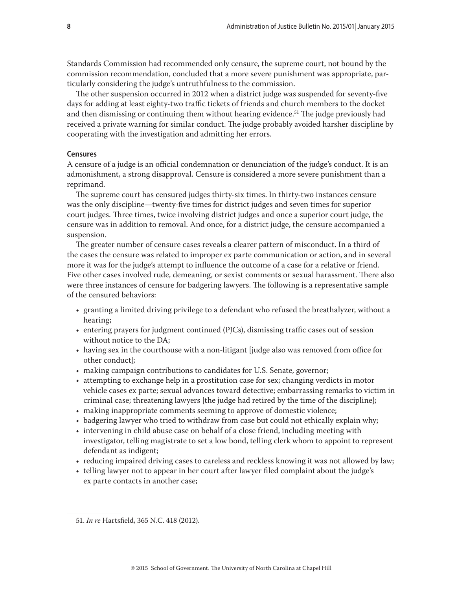<span id="page-7-0"></span>Standards Commission had recommended only censure, the supreme court, not bound by the commission recommendation, concluded that a more severe punishment was appropriate, particularly considering the judge's untruthfulness to the commission.

The other suspension occurred in 2012 when a district judge was suspended for seventy-five days for adding at least eighty-two traffic tickets of friends and church members to the docket and then dismissing or continuing them without hearing evidence.<sup>51</sup> The judge previously had received a private warning for similar conduct. The judge probably avoided harsher discipline by cooperating with the investigation and admitting her errors.

#### **Censures**

A censure of a judge is an official condemnation or denunciation of the judge's conduct. It is an admonishment, a strong disapproval. Censure is considered a more severe punishment than a reprimand.

The supreme court has censured judges thirty-six times. In thirty-two instances censure was the only discipline—twenty-five times for district judges and seven times for superior court judges. Three times, twice involving district judges and once a superior court judge, the censure was in addition to removal. And once, for a district judge, the censure accompanied a suspension.

The greater number of censure cases reveals a clearer pattern of misconduct. In a third of the cases the censure was related to improper ex parte communication or action, and in several more it was for the judge's attempt to influence the outcome of a case for a relative or friend. Five other cases involved rude, demeaning, or sexist comments or sexual harassment. There also were three instances of censure for badgering lawyers. The following is a representative sample of the censured behaviors:

- granting a limited driving privilege to a defendant who refused the breathalyzer, without a hearing;
- entering prayers for judgment continued (PJCs), dismissing traffic cases out of session without notice to the DA;
- having sex in the courthouse with a non-litigant [judge also was removed from office for other conduct];
- making campaign contributions to candidates for U.S. Senate, governor;
- attempting to exchange help in a prostitution case for sex; changing verdicts in motor vehicle cases ex parte; sexual advances toward detective; embarrassing remarks to victim in criminal case; threatening lawyers [the judge had retired by the time of the discipline];
- making inappropriate comments seeming to approve of domestic violence;
- badgering lawyer who tried to withdraw from case but could not ethically explain why;
- intervening in child abuse case on behalf of a close friend, including meeting with investigator, telling magistrate to set a low bond, telling clerk whom to appoint to represent defendant as indigent;
- reducing impaired driving cases to careless and reckless knowing it was not allowed by law;
- telling lawyer not to appear in her court after lawyer filed complaint about the judge's ex parte contacts in another case;

<sup>51.</sup> *In re* Hartsfield, 365 N.C. 418 (2012).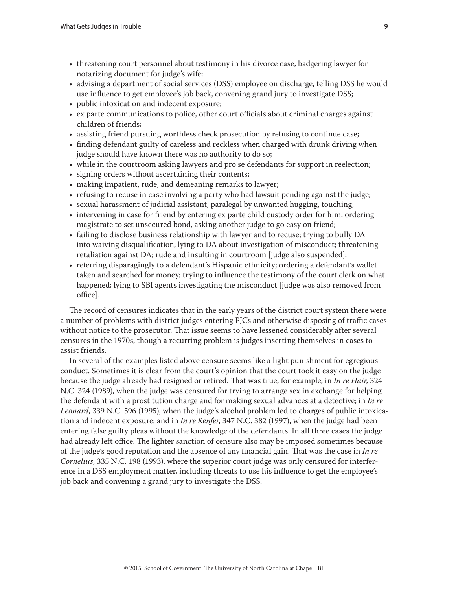- threatening court personnel about testimony in his divorce case, badgering lawyer for notarizing document for judge's wife;
- advising a department of social services (DSS) employee on discharge, telling DSS he would use influence to get employee's job back, convening grand jury to investigate DSS;
- public intoxication and indecent exposure;
- ex parte communications to police, other court officials about criminal charges against children of friends;
- assisting friend pursuing worthless check prosecution by refusing to continue case;
- finding defendant guilty of careless and reckless when charged with drunk driving when judge should have known there was no authority to do so;
- while in the courtroom asking lawyers and pro se defendants for support in reelection;
- signing orders without ascertaining their contents;
- making impatient, rude, and demeaning remarks to lawyer;
- refusing to recuse in case involving a party who had lawsuit pending against the judge;
- sexual harassment of judicial assistant, paralegal by unwanted hugging, touching;
- intervening in case for friend by entering ex parte child custody order for him, ordering magistrate to set unsecured bond, asking another judge to go easy on friend;
- failing to disclose business relationship with lawyer and to recuse; trying to bully DA into waiving disqualification; lying to DA about investigation of misconduct; threatening retaliation against DA; rude and insulting in courtroom [judge also suspended];
- referring disparagingly to a defendant's Hispanic ethnicity; ordering a defendant's wallet taken and searched for money; trying to influence the testimony of the court clerk on what happened; lying to SBI agents investigating the misconduct [judge was also removed from office].

The record of censures indicates that in the early years of the district court system there were a number of problems with district judges entering PJCs and otherwise disposing of traffic cases without notice to the prosecutor. That issue seems to have lessened considerably after several censures in the 1970s, though a recurring problem is judges inserting themselves in cases to assist friends.

In several of the examples listed above censure seems like a light punishment for egregious conduct. Sometimes it is clear from the court's opinion that the court took it easy on the judge because the judge already had resigned or retired. That was true, for example, in *In re Hair*, 324 N.C. 324 (1989), when the judge was censured for trying to arrange sex in exchange for helping the defendant with a prostitution charge and for making sexual advances at a detective; in *In re Leonard*, 339 N.C. 596 (1995), when the judge's alcohol problem led to charges of public intoxication and indecent exposure; and in *In re Renfer*, 347 N.C. 382 (1997), when the judge had been entering false guilty pleas without the knowledge of the defendants. In all three cases the judge had already left office. The lighter sanction of censure also may be imposed sometimes because of the judge's good reputation and the absence of any financial gain. That was the case in *In re Cornelius*, 335 N.C. 198 (1993), where the superior court judge was only censured for interference in a DSS employment matter, including threats to use his influence to get the employee's job back and convening a grand jury to investigate the DSS.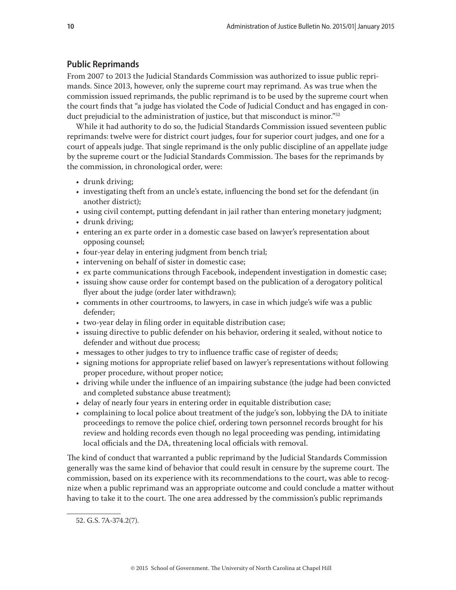# <span id="page-9-0"></span>**Public Reprimands**

From 2007 to 2013 the Judicial Standards Commission was authorized to issue public reprimands. Since 2013, however, only the supreme court may reprimand. As was true when the commission issued reprimands, the public reprimand is to be used by the supreme court when the court finds that "a judge has violated the Code of Judicial Conduct and has engaged in conduct prejudicial to the administration of justice, but that misconduct is minor."52

While it had authority to do so, the Judicial Standards Commission issued seventeen public reprimands: twelve were for district court judges, four for superior court judges, and one for a court of appeals judge. That single reprimand is the only public discipline of an appellate judge by the supreme court or the Judicial Standards Commission. The bases for the reprimands by the commission, in chronological order, were:

- drunk driving;
- investigating theft from an uncle's estate, influencing the bond set for the defendant (in another district);
- using civil contempt, putting defendant in jail rather than entering monetary judgment;
- drunk driving;
- entering an ex parte order in a domestic case based on lawyer's representation about opposing counsel;
- four-year delay in entering judgment from bench trial;
- intervening on behalf of sister in domestic case;
- ex parte communications through Facebook, independent investigation in domestic case;
- issuing show cause order for contempt based on the publication of a derogatory political flyer about the judge (order later withdrawn);
- comments in other courtrooms, to lawyers, in case in which judge's wife was a public defender;
- two-year delay in filing order in equitable distribution case;
- issuing directive to public defender on his behavior, ordering it sealed, without notice to defender and without due process;
- messages to other judges to try to influence traffic case of register of deeds;
- signing motions for appropriate relief based on lawyer's representations without following proper procedure, without proper notice;
- driving while under the influence of an impairing substance (the judge had been convicted and completed substance abuse treatment);
- delay of nearly four years in entering order in equitable distribution case;
- complaining to local police about treatment of the judge's son, lobbying the DA to initiate proceedings to remove the police chief, ordering town personnel records brought for his review and holding records even though no legal proceeding was pending, intimidating local officials and the DA, threatening local officials with removal.

The kind of conduct that warranted a public reprimand by the Judicial Standards Commission generally was the same kind of behavior that could result in censure by the supreme court. The commission, based on its experience with its recommendations to the court, was able to recognize when a public reprimand was an appropriate outcome and could conclude a matter without having to take it to the court. The one area addressed by the commission's public reprimands

<sup>52.</sup> G.S. 7A-374.2(7).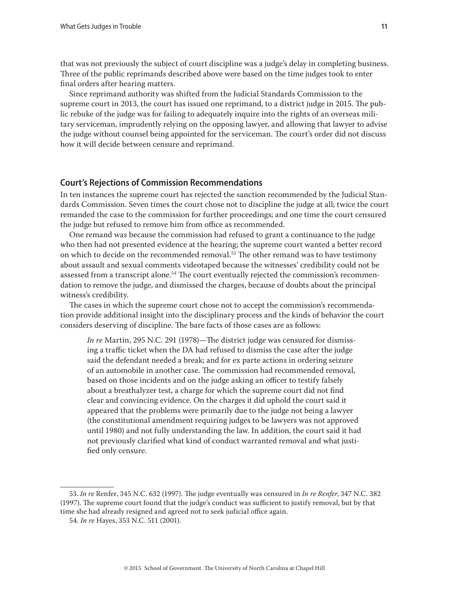<span id="page-10-0"></span>that was not previously the subject of court discipline was a judge's delay in completing business. Three of the public reprimands described above were based on the time judges took to enter final orders after hearing matters.

Since reprimand authority was shifted from the Judicial Standards Commission to the supreme court in 2013, the court has issued one reprimand, to a district judge in 2015. The public rebuke of the judge was for failing to adequately inquire into the rights of an overseas military serviceman, imprudently relying on the opposing lawyer, and allowing that lawyer to advise the judge without counsel being appointed for the serviceman. The court's order did not discuss how it will decide between censure and reprimand.

### **Court's Rejections of Commission Recommendations**

In ten instances the supreme court has rejected the sanction recommended by the Judicial Standards Commission. Seven times the court chose not to discipline the judge at all; twice the court remanded the case to the commission for further proceedings; and one time the court censured the judge but refused to remove him from office as recommended.

One remand was because the commission had refused to grant a continuance to the judge who then had not presented evidence at the hearing; the supreme court wanted a better record on which to decide on the recommended removal.<sup>53</sup> The other remand was to have testimony about assault and sexual comments videotaped because the witnesses' credibility could not be assessed from a transcript alone.<sup>54</sup> The court eventually rejected the commission's recommendation to remove the judge, and dismissed the charges, because of doubts about the principal witness's credibility.

The cases in which the supreme court chose not to accept the commission's recommendation provide additional insight into the disciplinary process and the kinds of behavior the court considers deserving of discipline. The bare facts of those cases are as follows:

*In re* Martin, 295 N.C. 291 (1978)—The district judge was censured for dismissing a traffic ticket when the DA had refused to dismiss the case after the judge said the defendant needed a break; and for ex parte actions in ordering seizure of an automobile in another case. The commission had recommended removal, based on those incidents and on the judge asking an officer to testify falsely about a breathalyzer test, a charge for which the supreme court did not find clear and convincing evidence. On the charges it did uphold the court said it appeared that the problems were primarily due to the judge not being a lawyer (the constitutional amendment requiring judges to be lawyers was not approved until 1980) and not fully understanding the law. In addition, the court said it had not previously clarified what kind of conduct warranted removal and what justified only censure.

<sup>53.</sup> *In re* Renfer, 345 N.C. 632 (1997). The judge eventually was censured in *In re Renfer*, 347 N.C. 382 (1997). The supreme court found that the judge's conduct was sufficient to justify removal, but by that time she had already resigned and agreed not to seek judicial office again.

<sup>54.</sup> *In re* Hayes, 353 N.C. 511 (2001).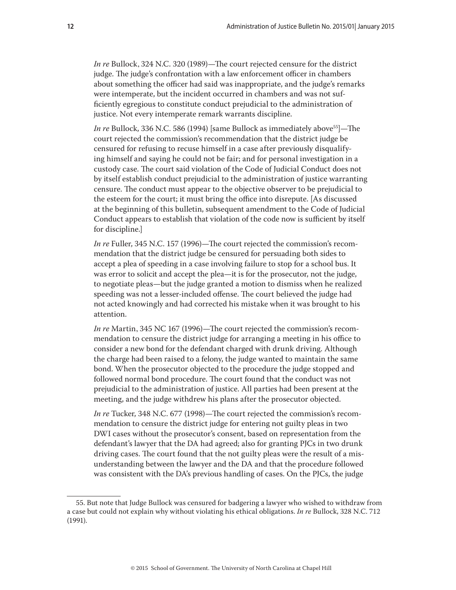*In re* Bullock, 324 N.C. 320 (1989)—The court rejected censure for the district judge. The judge's confrontation with a law enforcement officer in chambers about something the officer had said was inappropriate, and the judge's remarks were intemperate, but the incident occurred in chambers and was not sufficiently egregious to constitute conduct prejudicial to the administration of justice. Not every intemperate remark warrants discipline.

*In re* Bullock, 336 N.C. 586 (1994) [same Bullock as immediately above<sup>55</sup>]—The court rejected the commission's recommendation that the district judge be censured for refusing to recuse himself in a case after previously disqualifying himself and saying he could not be fair; and for personal investigation in a custody case. The court said violation of the Code of Judicial Conduct does not by itself establish conduct prejudicial to the administration of justice warranting censure. The conduct must appear to the objective observer to be prejudicial to the esteem for the court; it must bring the office into disrepute. [As discussed at the beginning of this bulletin, subsequent amendment to the Code of Judicial Conduct appears to establish that violation of the code now is sufficient by itself for discipline.]

*In re* Fuller, 345 N.C. 157 (1996)—The court rejected the commission's recommendation that the district judge be censured for persuading both sides to accept a plea of speeding in a case involving failure to stop for a school bus. It was error to solicit and accept the plea—it is for the prosecutor, not the judge, to negotiate pleas—but the judge granted a motion to dismiss when he realized speeding was not a lesser-included offense. The court believed the judge had not acted knowingly and had corrected his mistake when it was brought to his attention.

*In re* Martin, 345 NC 167 (1996)—The court rejected the commission's recommendation to censure the district judge for arranging a meeting in his office to consider a new bond for the defendant charged with drunk driving. Although the charge had been raised to a felony, the judge wanted to maintain the same bond. When the prosecutor objected to the procedure the judge stopped and followed normal bond procedure. The court found that the conduct was not prejudicial to the administration of justice. All parties had been present at the meeting, and the judge withdrew his plans after the prosecutor objected.

*In re* Tucker, 348 N.C. 677 (1998)—The court rejected the commission's recommendation to censure the district judge for entering not guilty pleas in two DWI cases without the prosecutor's consent, based on representation from the defendant's lawyer that the DA had agreed; also for granting PJCs in two drunk driving cases. The court found that the not guilty pleas were the result of a misunderstanding between the lawyer and the DA and that the procedure followed was consistent with the DA's previous handling of cases. On the PJCs, the judge

<sup>55.</sup> But note that Judge Bullock was censured for badgering a lawyer who wished to withdraw from a case but could not explain why without violating his ethical obligations. *In re* Bullock, 328 N.C. 712 (1991).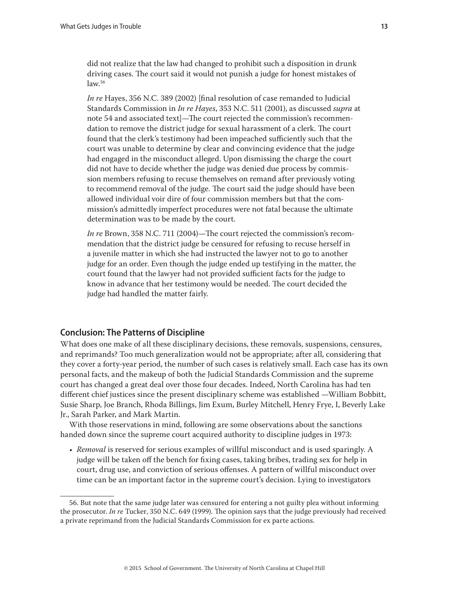<span id="page-12-0"></span>did not realize that the law had changed to prohibit such a disposition in drunk driving cases. The court said it would not punish a judge for honest mistakes of  $law<sup>56</sup>$ 

*In re* Hayes, 356 N.C. 389 (2002) [final resolution of case remanded to Judicial Standards Commission in *In re Hayes*, 353 N.C. 511 (2001), as discussed *supra* at note 54 and associated text]—The court rejected the commission's recommendation to remove the district judge for sexual harassment of a clerk. The court found that the clerk's testimony had been impeached sufficiently such that the court was unable to determine by clear and convincing evidence that the judge had engaged in the misconduct alleged. Upon dismissing the charge the court did not have to decide whether the judge was denied due process by commission members refusing to recuse themselves on remand after previously voting to recommend removal of the judge. The court said the judge should have been allowed individual voir dire of four commission members but that the commission's admittedly imperfect procedures were not fatal because the ultimate determination was to be made by the court.

*In re* Brown, 358 N.C. 711 (2004)—The court rejected the commission's recommendation that the district judge be censured for refusing to recuse herself in a juvenile matter in which she had instructed the lawyer not to go to another judge for an order. Even though the judge ended up testifying in the matter, the court found that the lawyer had not provided sufficient facts for the judge to know in advance that her testimony would be needed. The court decided the judge had handled the matter fairly.

# **Conclusion: The Patterns of Discipline**

What does one make of all these disciplinary decisions, these removals, suspensions, censures, and reprimands? Too much generalization would not be appropriate; after all, considering that they cover a forty-year period, the number of such cases is relatively small. Each case has its own personal facts, and the makeup of both the Judicial Standards Commission and the supreme court has changed a great deal over those four decades. Indeed, North Carolina has had ten different chief justices since the present disciplinary scheme was established —William Bobbitt, Susie Sharp, Joe Branch, Rhoda Billings, Jim Exum, Burley Mitchell, Henry Frye, I, Beverly Lake Jr., Sarah Parker, and Mark Martin.

With those reservations in mind, following are some observations about the sanctions handed down since the supreme court acquired authority to discipline judges in 1973:

• *Removal* is reserved for serious examples of willful misconduct and is used sparingly. A judge will be taken off the bench for fixing cases, taking bribes, trading sex for help in court, drug use, and conviction of serious offenses. A pattern of willful misconduct over time can be an important factor in the supreme court's decision. Lying to investigators

<sup>56.</sup> But note that the same judge later was censured for entering a not guilty plea without informing the prosecutor. *In re* Tucker, 350 N.C. 649 (1999). The opinion says that the judge previously had received a private reprimand from the Judicial Standards Commission for ex parte actions.